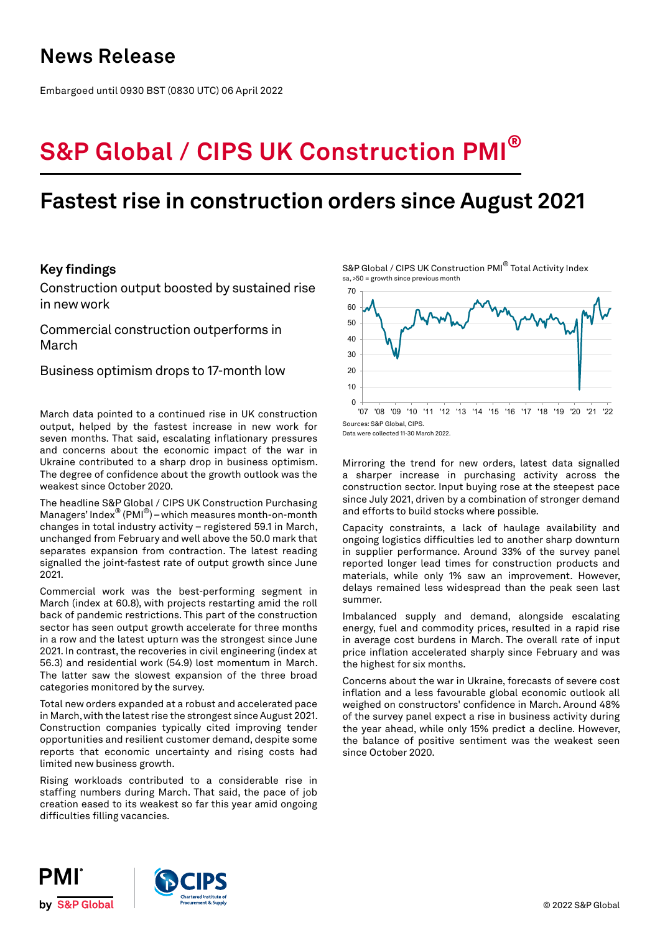# **News Release**

Embargoed until 0930 BST (0830 UTC) 06 April 2022

# **S&P Global / CIPS UK Construction PMI®**

# **Fastest rise in construction orders since August 2021**

# **Key findings**

Construction output boosted by sustained rise in new work

Commercial construction outperforms in March

Business optimism drops to 17-month low

March data pointed to a continued rise in UK construction output, helped by the fastest increase in new work for seven months. That said, escalating inflationary pressures and concerns about the economic impact of the war in Ukraine contributed to a sharp drop in business optimism. The degree of confidence about the growth outlook was the weakest since October 2020.

The headline S&P Global / CIPS UK Construction Purchasing Managers' Index® (PMI®) – which measures month-on-month changes in total industry activity – registered 59.1 in March, unchanged from February and well above the 50.0 mark that separates expansion from contraction. The latest reading signalled the joint-fastest rate of output growth since June 2021.

Commercial work was the best-performing segment in March (index at 60.8), with projects restarting amid the roll back of pandemic restrictions. This part of the construction sector has seen output growth accelerate for three months in a row and the latest upturn was the strongest since June 2021. In contrast, the recoveries in civil engineering (index at 56.3) and residential work (54.9) lost momentum in March. The latter saw the slowest expansion of the three broad categories monitored by the survey.

Total new orders expanded at a robust and accelerated pace in March, with the latest rise the strongest since August 2021. Construction companies typically cited improving tender opportunities and resilient customer demand, despite some reports that economic uncertainty and rising costs had limited new business growth.

Rising workloads contributed to a considerable rise in staffing numbers during March. That said, the pace of job creation eased to its weakest so far this year amid ongoing difficulties filling vacancies.

S&P Global / CIPS UK Construction PMI<sup>®</sup> Total Activity Index sa, >50 = growth since previous month



Data were collected 11-30 March 2022.

Mirroring the trend for new orders, latest data signalled a sharper increase in purchasing activity across the construction sector. Input buying rose at the steepest pace since July 2021, driven by a combination of stronger demand and efforts to build stocks where possible.

Capacity constraints, a lack of haulage availability and ongoing logistics difficulties led to another sharp downturn in supplier performance. Around 33% of the survey panel reported longer lead times for construction products and materials, while only 1% saw an improvement. However, delays remained less widespread than the peak seen last summer.

Imbalanced supply and demand, alongside escalating energy, fuel and commodity prices, resulted in a rapid rise in average cost burdens in March. The overall rate of input price inflation accelerated sharply since February and was the highest for six months.

Concerns about the war in Ukraine, forecasts of severe cost inflation and a less favourable global economic outlook all weighed on constructors' confidence in March. Around 48% of the survey panel expect a rise in business activity during the year ahead, while only 15% predict a decline. However, the balance of positive sentiment was the weakest seen since October 2020.